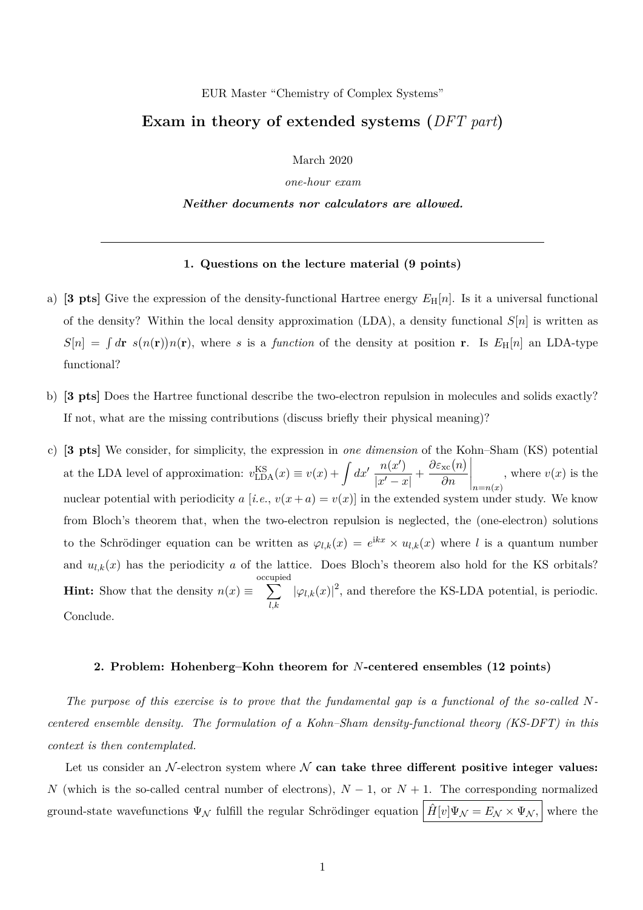## EUR Master "Chemistry of Complex Systems"

## **Exam in theory of extended systems (***DFT part***)**

March 2020

*one-hour exam*

*Neither documents nor calculators are allowed.*

## **1. Questions on the lecture material (9 points)**

- a) **[3 pts]** Give the expression of the density-functional Hartree energy  $E_H[n]$ . Is it a universal functional of the density? Within the local density approximation (LDA), a density functional  $S[n]$  is written as  $S[n] = \int d\mathbf{r} s(n(\mathbf{r}))n(\mathbf{r})$ , where *s* is a *function* of the density at position **r**. Is  $E_H[n]$  an LDA-type functional?
- b) **[3 pts]** Does the Hartree functional describe the two-electron repulsion in molecules and solids exactly? If not, what are the missing contributions (discuss briefly their physical meaning)?
- c) **[3 pts]** We consider, for simplicity, the expression in *one dimension* of the Kohn–Sham (KS) potential at the LDA level of approximation:  $v_{\text{LDA}}^{\text{KS}}(x) \equiv v(x) + \int dx' \frac{n(x')}{|x'-x'|}$  $\frac{n(x')}{|x'-x|} + \frac{\partial \varepsilon_{\rm xc}(n)}{\partial n}$ *∂n*  $\Big|_{n=n(x)}$ , where  $v(x)$  is the nuclear potential with periodicity *a* [*i.e.*,  $v(x+a) = v(x)$ ] in the extended system under study. We know from Bloch's theorem that, when the two-electron repulsion is neglected, the (one-electron) solutions to the Schrödinger equation can be written as  $\varphi_{l,k}(x) = e^{ikx} \times u_{l,k}(x)$  where *l* is a quantum number and  $u_{l,k}(x)$  has the periodicity  $a$  of the lattice. Does Bloch's theorem also hold for the KS orbitals? **Hint:** Show that the density  $n(x) \equiv$ occupied  $\sum$ *l,k*  $|\varphi_{l,k}(x)|^2$ , and therefore the KS-LDA potential, is periodic. Conclude.

## **2. Problem: Hohenberg–Kohn theorem for** *N***-centered ensembles (12 points)**

*The purpose of this exercise is to prove that the fundamental gap is a functional of the so-called Ncentered ensemble density. The formulation of a Kohn–Sham density-functional theory (KS-DFT) in this context is then contemplated.*

Let us consider an  $\mathcal N$ -electron system where  $\mathcal N$  can take three different positive integer values: *N* (which is the so-called central number of electrons),  $N-1$ , or  $N+1$ . The corresponding normalized ground-state wavefunctions  $\Psi_{\mathcal{N}}$  fulfill the regular Schrödinger equation  $\left|\hat{H}[v]\Psi_{\mathcal{N}}=E_{\mathcal{N}}\times\Psi_{\mathcal{N}}\right|$  where the